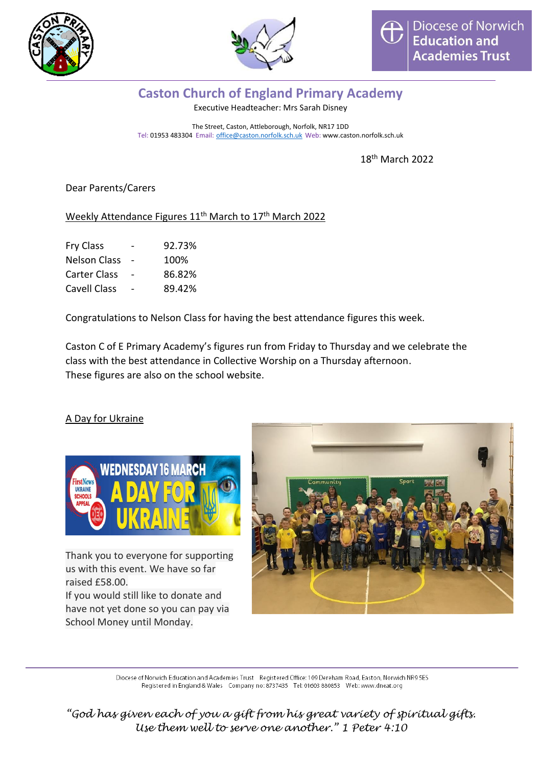



## **Caston Church of England Primary Academy**

Executive Headteacher: Mrs Sarah Disney

The Street, Caston, Attleborough, Norfolk, NR17 1DD Tel: 01953 483304 Email: [office@caston.norfolk.sch.uk](mailto:office@caston.norfolk.sch.uk) Web: www.caston.norfolk.sch.uk

18 th March 2022

## Dear Parents/Carers

## Weekly Attendance Figures 11<sup>th</sup> March to 17<sup>th</sup> March 2022

| Fry Class           | 92.73% |
|---------------------|--------|
| <b>Nelson Class</b> | 100%   |
| Carter Class        | 86.82% |
| Cavell Class        | 89.42% |

Congratulations to Nelson Class for having the best attendance figures this week.

Caston C of E Primary Academy's figures run from Friday to Thursday and we celebrate the class with the best attendance in Collective Worship on a Thursday afternoon. These figures are also on the school website.

## A Day for Ukraine



Thank you to everyone for supporting us with this event. We have so far raised £58.00.

If you would still like to donate and have not yet done so you can pay via School Money until Monday.



Diocese of Norwich Education and Academies Trust Registered Office: 109 Dereham Road, Easton, Norwich NR9 5ES Registered in England & Wales Company no: 8737435 Tel: 01603 880853 Web: www.dneat.org

*"God has given each of you a gift from his great variety of spiritual gifts. Use them well to serve one another." 1 Peter 4:10*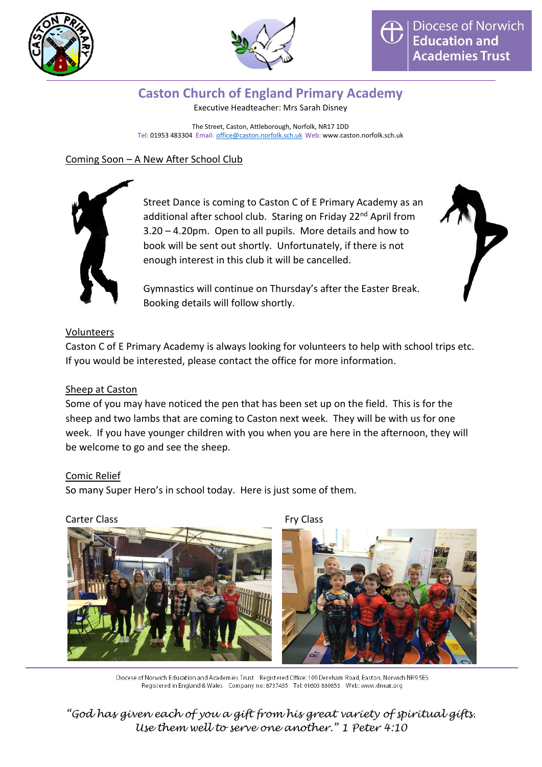



# **Caston Church of England Primary Academy**

Executive Headteacher: Mrs Sarah Disney

The Street, Caston, Attleborough, Norfolk, NR17 1DD Tel: 01953 483304 Email: [office@caston.norfolk.sch.uk](mailto:office@caston.norfolk.sch.uk) Web: www.caston.norfolk.sch.uk

## Coming Soon – A New After School Club



Street Dance is coming to Caston C of E Primary Academy as an additional after school club. Staring on Friday 22<sup>nd</sup> April from 3.20 – 4.20pm. Open to all pupils. More details and how to book will be sent out shortly. Unfortunately, if there is not enough interest in this club it will be cancelled.



Gymnastics will continue on Thursday's after the Easter Break. Booking details will follow shortly.

## Volunteers

Caston C of E Primary Academy is always looking for volunteers to help with school trips etc. If you would be interested, please contact the office for more information.

## Sheep at Caston

Some of you may have noticed the pen that has been set up on the field. This is for the sheep and two lambs that are coming to Caston next week. They will be with us for one week. If you have younger children with you when you are here in the afternoon, they will be welcome to go and see the sheep.

## Comic Relief

So many Super Hero's in school today. Here is just some of them.





Diocese of Norwich Education and Academies Trust Registered Office: 109 Dereham Road, Easton, Norwich NR9 5ES Registered in England & Wales Company no: 8737435 Tel: 01603 880853 Web: www.dneat.org

*"God has given each of you a gift from his great variety of spiritual gifts. Use them well to serve one another." 1 Peter 4:10*